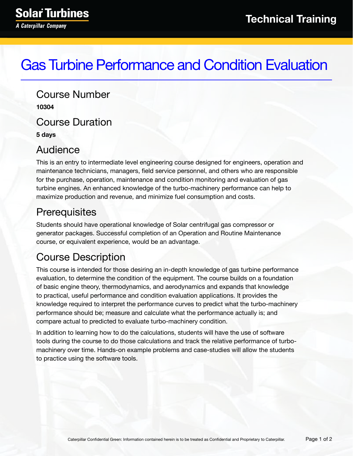# Gas Turbine Performance and Condition Evaluation

Course Number **10304** Course Duration **5 days**

#### Audience

This is an entry to intermediate level engineering course designed for engineers, operation and maintenance technicians, managers, field service personnel, and others who are responsible for the purchase, operation, maintenance and condition monitoring and evaluation of gas turbine engines. An enhanced knowledge of the turbo-machinery performance can help to maximize production and revenue, and minimize fuel consumption and costs.

## **Prerequisites**

Students should have operational knowledge of Solar centrifugal gas compressor or generator packages. Successful completion of an Operation and Routine Maintenance course, or equivalent experience, would be an advantage.

## Course Description

This course is intended for those desiring an in-depth knowledge of gas turbine performance evaluation, to determine the condition of the equipment. The course builds on a foundation of basic engine theory, thermodynamics, and aerodynamics and expands that knowledge to practical, useful performance and condition evaluation applications. It provides the knowledge required to interpret the performance curves to predict what the turbo-machinery performance should be; measure and calculate what the performance actually is; and compare actual to predicted to evaluate turbo-machinery condition.

In addition to learning how to do the calculations, students will have the use of software tools during the course to do those calculations and track the relative performance of turbomachinery over time. Hands-on example problems and case-studies will allow the students to practice using the software tools.